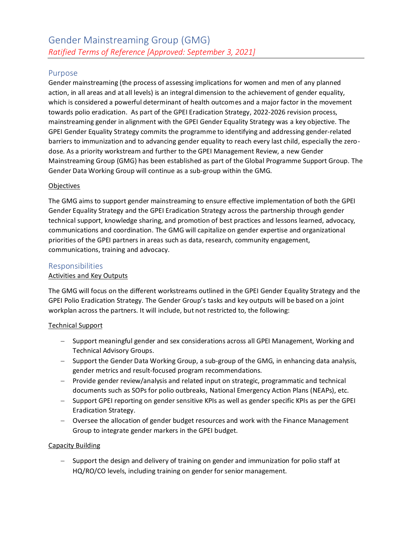# Purpose

Gender mainstreaming (the process of assessing implications for women and men of any planned action, in all areas and at all levels) is an integral dimension to the achievement of gender equality, which is considered a powerful determinant of health outcomes and a major factor in the movement towards polio eradication. As part of the GPEI Eradication Strategy, 2022-2026 revision process, mainstreaming gender in alignment with the GPEI Gender Equality Strategy was a key objective. The GPEI Gender Equality Strategy commits the programme to identifying and addressing gender-related barriers to immunization and to advancing gender equality to reach every last child, especially the zerodose. As a priority workstream and further to the GPEI Management Review, a new Gender Mainstreaming Group (GMG) has been established as part of the Global Programme Support Group. The Gender Data Working Group will continue as a sub-group within the GMG.

#### **Objectives**

The GMG aims to support gender mainstreaming to ensure effective implementation of both the GPEI Gender Equality Strategy and the GPEI Eradication Strategy across the partnership through gender technical support, knowledge sharing, and promotion of best practices and lessons learned, advocacy, communications and coordination. The GMG will capitalize on gender expertise and organizational priorities of the GPEI partners in areas such as data, research, community engagement, communications, training and advocacy.

### Responsibilities

#### Activities and Key Outputs

The GMG will focus on the different workstreams outlined in the GPEI Gender Equality Strategy and the GPEI Polio Eradication Strategy. The Gender Group's tasks and key outputs will be based on a joint workplan across the partners. It will include, but not restricted to, the following:

#### Technical Support

- − Support meaningful gender and sex considerations across all GPEI Management, Working and Technical Advisory Groups.
- − Support the Gender Data Working Group, a sub-group of the GMG, in enhancing data analysis, gender metrics and result-focused program recommendations.
- − Provide gender review/analysis and related input on strategic, programmatic and technical documents such as SOPs for polio outbreaks, National Emergency Action Plans (NEAPs), etc.
- − Support GPEI reporting on gender sensitive KPIs as well as gender specific KPIs as per the GPEI Eradication Strategy.
- − Oversee the allocation of gender budget resources and work with the Finance Management Group to integrate gender markers in the GPEI budget.

#### Capacity Building

− Support the design and delivery of training on gender and immunization for polio staff at HQ/RO/CO levels, including training on gender for senior management.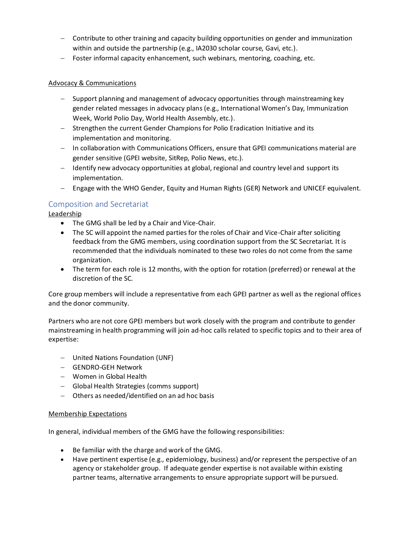- − Contribute to other training and capacity building opportunities on gender and immunization within and outside the partnership (e.g., IA2030 scholar course, Gavi, etc.).
- − Foster informal capacity enhancement, such webinars, mentoring, coaching, etc.

#### Advocacy & Communications

- − Support planning and management of advocacy opportunities through mainstreaming key gender related messages in advocacy plans (e.g., International Women's Day, Immunization Week, World Polio Day, World Health Assembly, etc.).
- − Strengthen the current Gender Champions for Polio Eradication Initiative and its implementation and monitoring.
- − In collaboration with Communications Officers, ensure that GPEI communications material are gender sensitive (GPEI website, SitRep, Polio News, etc.).
- − Identify new advocacy opportunities at global, regional and country level and support its implementation.
- − Engage with the WHO Gender, Equity and Human Rights (GER) Network and UNICEF equivalent.

## Composition and Secretariat

**Leadership** 

- The GMG shall be led by a Chair and Vice-Chair.
- The SC will appoint the named parties for the roles of Chair and Vice-Chair after soliciting feedback from the GMG members, using coordination support from the SC Secretariat. It is recommended that the individuals nominated to these two roles do not come from the same organization.
- The term for each role is 12 months, with the option for rotation (preferred) or renewal at the discretion of the SC.

Core group members will include a representative from each GPEI partner as well as the regional offices and the donor community.

Partners who are not core GPEI members but work closely with the program and contribute to gender mainstreaming in health programming will join ad-hoc calls related to specific topics and to their area of expertise:

- − United Nations Foundation (UNF)
- − GENDRO-GEH Network
- − Women in Global Health
- − Global Health Strategies (comms support)
- − Others as needed/identified on an ad hoc basis

#### Membership Expectations

In general, individual members of the GMG have the following responsibilities:

- Be familiar with the charge and work of the GMG.
- Have pertinent expertise (e.g., epidemiology, business) and/or represent the perspective of an agency or stakeholder group. If adequate gender expertise is not available within existing partner teams, alternative arrangements to ensure appropriate support will be pursued.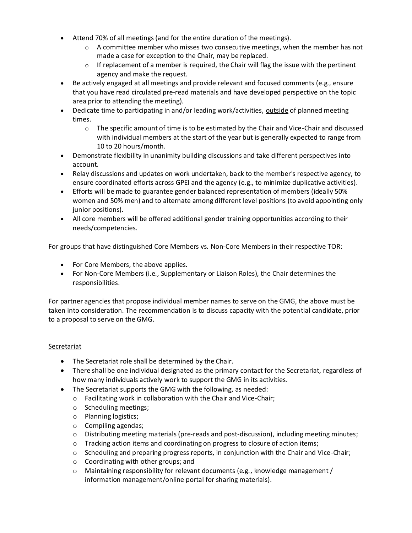- Attend 70% of all meetings (and for the entire duration of the meetings).
	- o A committee member who misses two consecutive meetings, when the member has not made a case for exception to the Chair, may be replaced.
	- $\circ$  If replacement of a member is required, the Chair will flag the issue with the pertinent agency and make the request.
- Be actively engaged at all meetings and provide relevant and focused comments (e.g., ensure that you have read circulated pre-read materials and have developed perspective on the topic area prior to attending the meeting).
- Dedicate time to participating in and/or leading work/activities, outside of planned meeting times.
	- $\circ$  The specific amount of time is to be estimated by the Chair and Vice-Chair and discussed with individual members at the start of the year but is generally expected to range from 10 to 20 hours/month.
- Demonstrate flexibility in unanimity building discussions and take different perspectives into account.
- Relay discussions and updates on work undertaken, back to the member's respective agency, to ensure coordinated efforts across GPEI and the agency (e.g., to minimize duplicative activities).
- Efforts will be made to guarantee gender balanced representation of members (ideally 50% women and 50% men) and to alternate among different level positions (to avoid appointing only junior positions).
- All core members will be offered additional gender training opportunities according to their needs/competencies.

For groups that have distinguished Core Members vs. Non-Core Members in their respective TOR:

- For Core Members, the above applies.
- For Non-Core Members (i.e., Supplementary or Liaison Roles), the Chair determines the responsibilities.

For partner agencies that propose individual member names to serve on the GMG, the above must be taken into consideration. The recommendation is to discuss capacity with the potential candidate, prior to a proposal to serve on the GMG.

## Secretariat

- The Secretariat role shall be determined by the Chair.
- There shall be one individual designated as the primary contact for the Secretariat, regardless of how many individuals actively work to support the GMG in its activities.
- The Secretariat supports the GMG with the following, as needed:
	- o Facilitating work in collaboration with the Chair and Vice-Chair;
	- o Scheduling meetings;
	- o Planning logistics;
	- o Compiling agendas;
	- $\circ$  Distributing meeting materials (pre-reads and post-discussion), including meeting minutes;
	- o Tracking action items and coordinating on progress to closure of action items;
	- $\circ$  Scheduling and preparing progress reports, in conjunction with the Chair and Vice-Chair;
	- o Coordinating with other groups; and
	- $\circ$  Maintaining responsibility for relevant documents (e.g., knowledge management / information management/online portal for sharing materials).